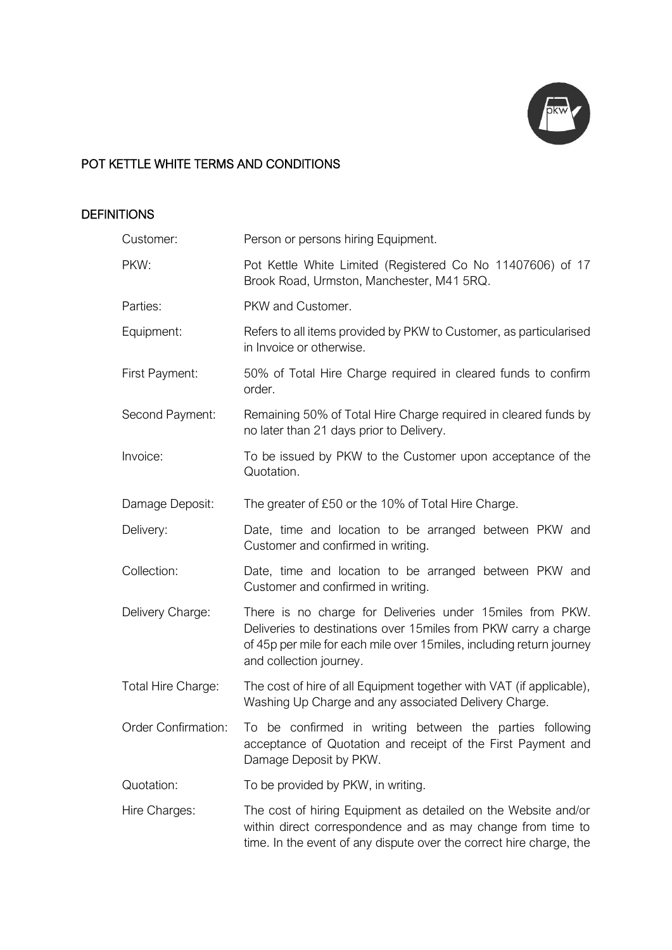

# POT KETTLE WHITE TERMS AND CONDITIONS

## **DEFINITIONS**

| Customer:                  | Person or persons hiring Equipment.                                                                                                                                                                                              |
|----------------------------|----------------------------------------------------------------------------------------------------------------------------------------------------------------------------------------------------------------------------------|
| PKW:                       | Pot Kettle White Limited (Registered Co No 11407606) of 17<br>Brook Road, Urmston, Manchester, M41 5RQ.                                                                                                                          |
| Parties:                   | PKW and Customer.                                                                                                                                                                                                                |
| Equipment:                 | Refers to all items provided by PKW to Customer, as particularised<br>in Invoice or otherwise.                                                                                                                                   |
| First Payment:             | 50% of Total Hire Charge required in cleared funds to confirm<br>order.                                                                                                                                                          |
| Second Payment:            | Remaining 50% of Total Hire Charge required in cleared funds by<br>no later than 21 days prior to Delivery.                                                                                                                      |
| Invoice:                   | To be issued by PKW to the Customer upon acceptance of the<br>Quotation.                                                                                                                                                         |
| Damage Deposit:            | The greater of £50 or the 10% of Total Hire Charge.                                                                                                                                                                              |
| Delivery:                  | Date, time and location to be arranged between PKW and<br>Customer and confirmed in writing.                                                                                                                                     |
| Collection:                | Date, time and location to be arranged between PKW and<br>Customer and confirmed in writing.                                                                                                                                     |
| Delivery Charge:           | There is no charge for Deliveries under 15 miles from PKW.<br>Deliveries to destinations over 15miles from PKW carry a charge<br>of 45p per mile for each mile over 15miles, including return journey<br>and collection journey. |
| Total Hire Charge:         | The cost of hire of all Equipment together with VAT (if applicable),<br>Washing Up Charge and any associated Delivery Charge.                                                                                                    |
| <b>Order Confirmation:</b> | To be confirmed in writing between the parties following<br>acceptance of Quotation and receipt of the First Payment and<br>Damage Deposit by PKW.                                                                               |
| Quotation:                 | To be provided by PKW, in writing.                                                                                                                                                                                               |
| Hire Charges:              | The cost of hiring Equipment as detailed on the Website and/or<br>within direct correspondence and as may change from time to<br>time. In the event of any dispute over the correct hire charge, the                             |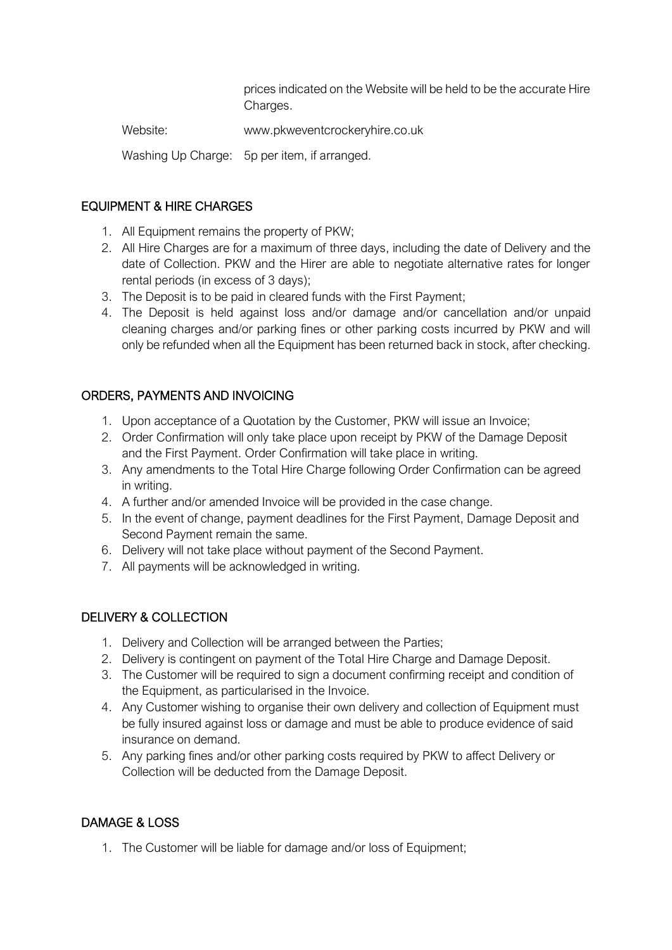prices indicated on the Website will be held to be the accurate Hire Charges.

Website: www.pkweventcrockeryhire.co.uk

Washing Up Charge: 5p per item, if arranged.

## EQUIPMENT & HIRE CHARGES

- 1. All Equipment remains the property of PKW;
- 2. All Hire Charges are for a maximum of three days, including the date of Delivery and the date of Collection. PKW and the Hirer are able to negotiate alternative rates for longer rental periods (in excess of 3 days);
- 3. The Deposit is to be paid in cleared funds with the First Payment;
- 4. The Deposit is held against loss and/or damage and/or cancellation and/or unpaid cleaning charges and/or parking fines or other parking costs incurred by PKW and will only be refunded when all the Equipment has been returned back in stock, after checking.

## ORDERS, PAYMENTS AND INVOICING

- 1. Upon acceptance of a Quotation by the Customer, PKW will issue an Invoice;
- 2. Order Confirmation will only take place upon receipt by PKW of the Damage Deposit and the First Payment. Order Confirmation will take place in writing.
- 3. Any amendments to the Total Hire Charge following Order Confirmation can be agreed in writing.
- 4. A further and/or amended Invoice will be provided in the case change.
- 5. In the event of change, payment deadlines for the First Payment, Damage Deposit and Second Payment remain the same.
- 6. Delivery will not take place without payment of the Second Payment.
- 7. All payments will be acknowledged in writing.

#### DELIVERY & COLLECTION

- 1. Delivery and Collection will be arranged between the Parties;
- 2. Delivery is contingent on payment of the Total Hire Charge and Damage Deposit.
- 3. The Customer will be required to sign a document confirming receipt and condition of the Equipment, as particularised in the Invoice.
- 4. Any Customer wishing to organise their own delivery and collection of Equipment must be fully insured against loss or damage and must be able to produce evidence of said insurance on demand.
- 5. Any parking fines and/or other parking costs required by PKW to affect Delivery or Collection will be deducted from the Damage Deposit.

#### DAMAGE & LOSS

1. The Customer will be liable for damage and/or loss of Equipment: